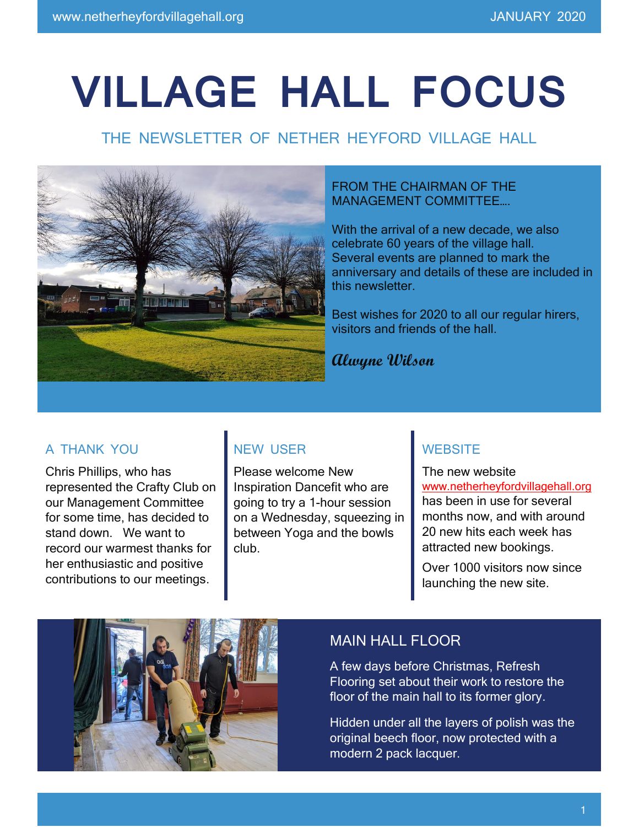# **VILLAGE HALL FOCUS**

## THE NEWSLETTER OF NETHER HEYFORD VILLAGE HALL



#### FROM THE CHAIRMAN OF THE MANAGEMENT COMMITTEE….

With the arrival of a new decade, we also celebrate 60 years of the village hall. Several events are planned to mark the anniversary and details of these are included in this newsletter.

Best wishes for 2020 to all our regular hirers, visitors and friends of the hall.

**Alwyne Wilson**

#### A THANK YOU

Chris Phillips, who has represented the Crafty Club on our Management Committee for some time, has decided to stand down. We want to record our warmest thanks for her enthusiastic and positive contributions to our meetings.

#### NEW USER

Please welcome New Inspiration Dancefit who are going to try a 1-hour session on a Wednesday, squeezing in between Yoga and the bowls club.

#### **WEBSITE**

The new website [www.netherheyfordvillagehall.org](http://www.netherheyfordvillagehall.org/) has been in use for several months now, and with around 20 new hits each week has attracted new bookings.

Over 1000 visitors now since launching the new site.



#### MAIN HALL FLOOR

A few days before Christmas, Refresh Flooring set about their work to restore the floor of the main hall to its former glory.

Hidden under all the layers of polish was the original beech floor, now protected with a modern 2 pack lacquer.